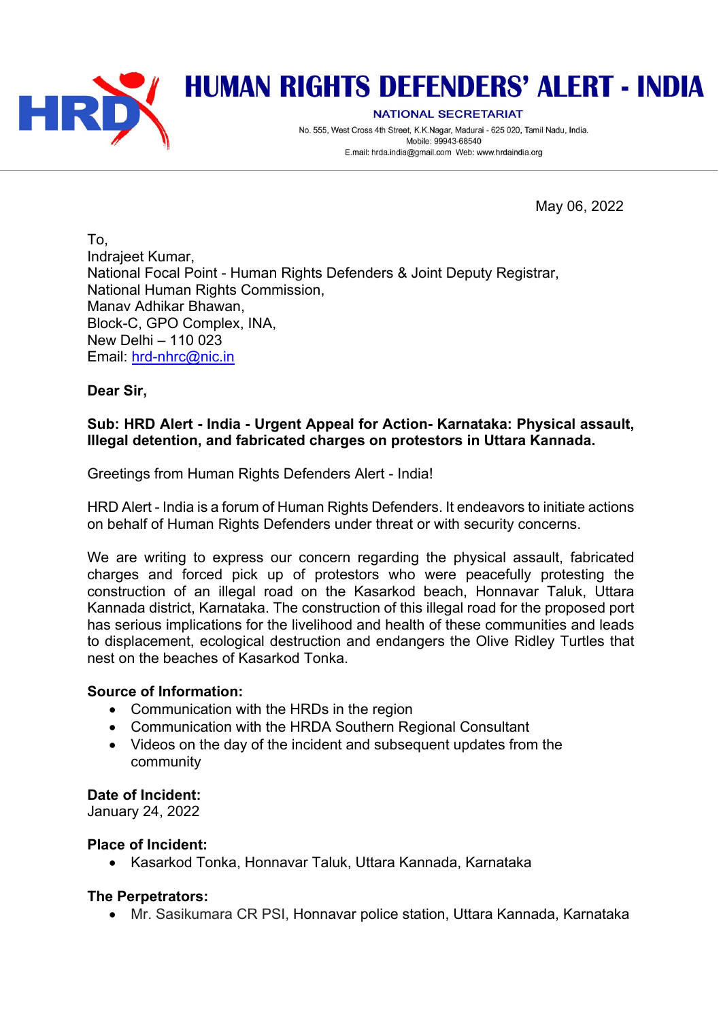

# **HUMAN RIGHTS DEFENDERS' ALERT - INDIA**

**NATIONAL SECRETARIAT** 

No. 555, West Cross 4th Street, K.K.Nagar, Madurai - 625 020, Tamil Nadu, India. Mobile: 99943-68540 E.mail: hrda.india@gmail.com Web: www.hrdaindia.org

May 06, 2022

To, Indrajeet Kumar, National Focal Point - Human Rights Defenders & Joint Deputy Registrar, National Human Rights Commission, Manav Adhikar Bhawan, Block-C, GPO Complex, INA, New Delhi – 110 023 Email: hrd-nhrc@nic.in

## **Dear Sir,**

## **Sub: HRD Alert - India - Urgent Appeal for Action- Karnataka: Physical assault, Illegal detention, and fabricated charges on protestors in Uttara Kannada.**

Greetings from Human Rights Defenders Alert - India!

HRD Alert - India is a forum of Human Rights Defenders. It endeavors to initiate actions on behalf of Human Rights Defenders under threat or with security concerns.

We are writing to express our concern regarding the physical assault, fabricated charges and forced pick up of protestors who were peacefully protesting the construction of an illegal road on the Kasarkod beach, Honnavar Taluk, Uttara Kannada district, Karnataka. The construction of this illegal road for the proposed port has serious implications for the livelihood and health of these communities and leads to displacement, ecological destruction and endangers the Olive Ridley Turtles that nest on the beaches of Kasarkod Tonka.

### **Source of Information:**

- Communication with the HRDs in the region
- Communication with the HRDA Southern Regional Consultant
- Videos on the day of the incident and subsequent updates from the community

### **Date of Incident:**

January 24, 2022

### **Place of Incident:**

• Kasarkod Tonka, Honnavar Taluk, Uttara Kannada, Karnataka

#### **The Perpetrators:**

• Mr. Sasikumara CR PSI, Honnavar police station, Uttara Kannada, Karnataka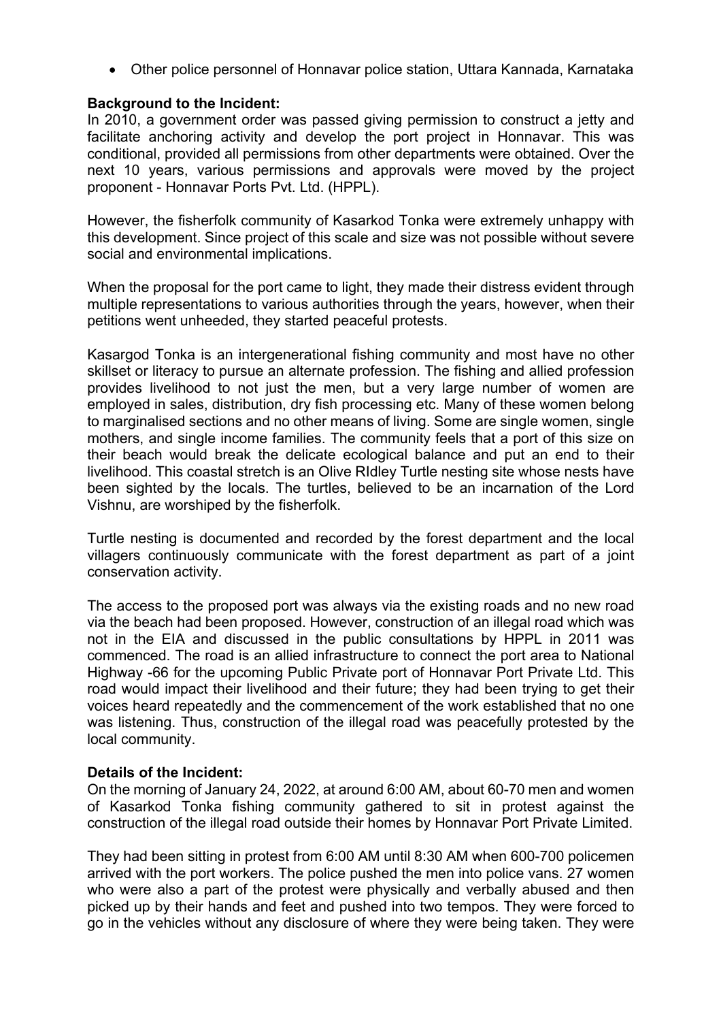• Other police personnel of Honnavar police station, Uttara Kannada, Karnataka

### **Background to the Incident:**

In 2010, a government order was passed giving permission to construct a jetty and facilitate anchoring activity and develop the port project in Honnavar. This was conditional, provided all permissions from other departments were obtained. Over the next 10 years, various permissions and approvals were moved by the project proponent - Honnavar Ports Pvt. Ltd. (HPPL).

However, the fisherfolk community of Kasarkod Tonka were extremely unhappy with this development. Since project of this scale and size was not possible without severe social and environmental implications.

When the proposal for the port came to light, they made their distress evident through multiple representations to various authorities through the years, however, when their petitions went unheeded, they started peaceful protests.

Kasargod Tonka is an intergenerational fishing community and most have no other skillset or literacy to pursue an alternate profession. The fishing and allied profession provides livelihood to not just the men, but a very large number of women are employed in sales, distribution, dry fish processing etc. Many of these women belong to marginalised sections and no other means of living. Some are single women, single mothers, and single income families. The community feels that a port of this size on their beach would break the delicate ecological balance and put an end to their livelihood. This coastal stretch is an Olive RIdley Turtle nesting site whose nests have been sighted by the locals. The turtles, believed to be an incarnation of the Lord Vishnu, are worshiped by the fisherfolk.

Turtle nesting is documented and recorded by the forest department and the local villagers continuously communicate with the forest department as part of a joint conservation activity.

The access to the proposed port was always via the existing roads and no new road via the beach had been proposed. However, construction of an illegal road which was not in the EIA and discussed in the public consultations by HPPL in 2011 was commenced. The road is an allied infrastructure to connect the port area to National Highway -66 for the upcoming Public Private port of Honnavar Port Private Ltd. This road would impact their livelihood and their future; they had been trying to get their voices heard repeatedly and the commencement of the work established that no one was listening. Thus, construction of the illegal road was peacefully protested by the local community.

### **Details of the Incident:**

On the morning of January 24, 2022, at around 6:00 AM, about 60-70 men and women of Kasarkod Tonka fishing community gathered to sit in protest against the construction of the illegal road outside their homes by Honnavar Port Private Limited.

They had been sitting in protest from 6:00 AM until 8:30 AM when 600-700 policemen arrived with the port workers. The police pushed the men into police vans. 27 women who were also a part of the protest were physically and verbally abused and then picked up by their hands and feet and pushed into two tempos. They were forced to go in the vehicles without any disclosure of where they were being taken. They were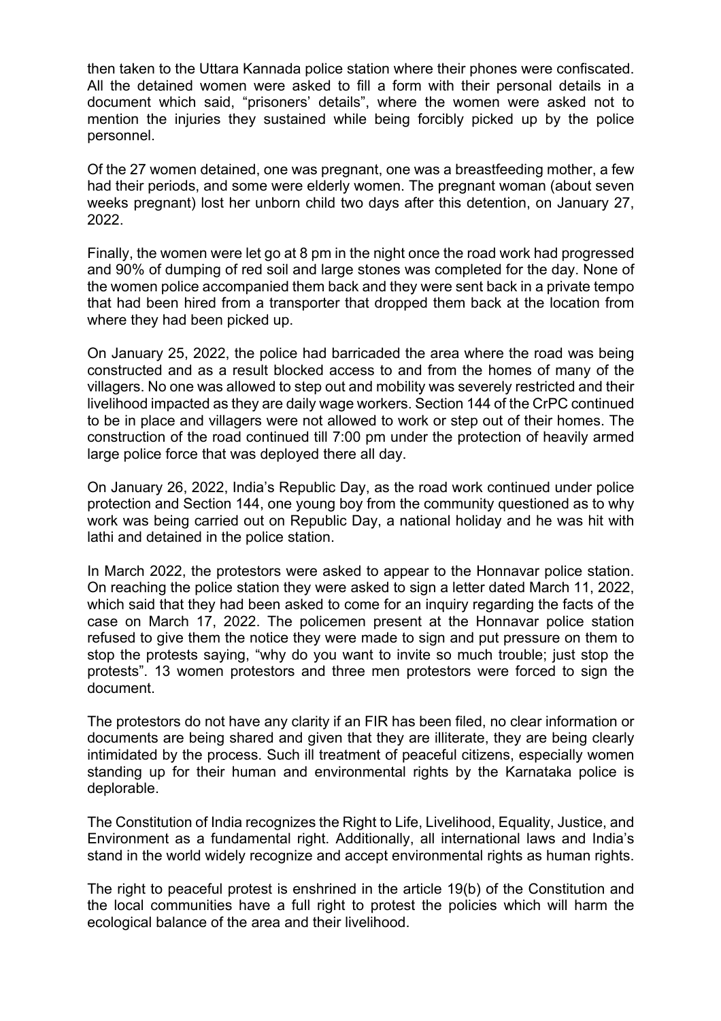then taken to the Uttara Kannada police station where their phones were confiscated. All the detained women were asked to fill a form with their personal details in a document which said, "prisoners' details", where the women were asked not to mention the injuries they sustained while being forcibly picked up by the police personnel.

Of the 27 women detained, one was pregnant, one was a breastfeeding mother, a few had their periods, and some were elderly women. The pregnant woman (about seven weeks pregnant) lost her unborn child two days after this detention, on January 27, 2022.

Finally, the women were let go at 8 pm in the night once the road work had progressed and 90% of dumping of red soil and large stones was completed for the day. None of the women police accompanied them back and they were sent back in a private tempo that had been hired from a transporter that dropped them back at the location from where they had been picked up.

On January 25, 2022, the police had barricaded the area where the road was being constructed and as a result blocked access to and from the homes of many of the villagers. No one was allowed to step out and mobility was severely restricted and their livelihood impacted as they are daily wage workers. Section 144 of the CrPC continued to be in place and villagers were not allowed to work or step out of their homes. The construction of the road continued till 7:00 pm under the protection of heavily armed large police force that was deployed there all day.

On January 26, 2022, India's Republic Day, as the road work continued under police protection and Section 144, one young boy from the community questioned as to why work was being carried out on Republic Day, a national holiday and he was hit with lathi and detained in the police station.

In March 2022, the protestors were asked to appear to the Honnavar police station. On reaching the police station they were asked to sign a letter dated March 11, 2022, which said that they had been asked to come for an inquiry regarding the facts of the case on March 17, 2022. The policemen present at the Honnavar police station refused to give them the notice they were made to sign and put pressure on them to stop the protests saying, "why do you want to invite so much trouble; just stop the protests". 13 women protestors and three men protestors were forced to sign the document.

The protestors do not have any clarity if an FIR has been filed, no clear information or documents are being shared and given that they are illiterate, they are being clearly intimidated by the process. Such ill treatment of peaceful citizens, especially women standing up for their human and environmental rights by the Karnataka police is deplorable.

The Constitution of India recognizes the Right to Life, Livelihood, Equality, Justice, and Environment as a fundamental right. Additionally, all international laws and India's stand in the world widely recognize and accept environmental rights as human rights.

The right to peaceful protest is enshrined in the article 19(b) of the Constitution and the local communities have a full right to protest the policies which will harm the ecological balance of the area and their livelihood.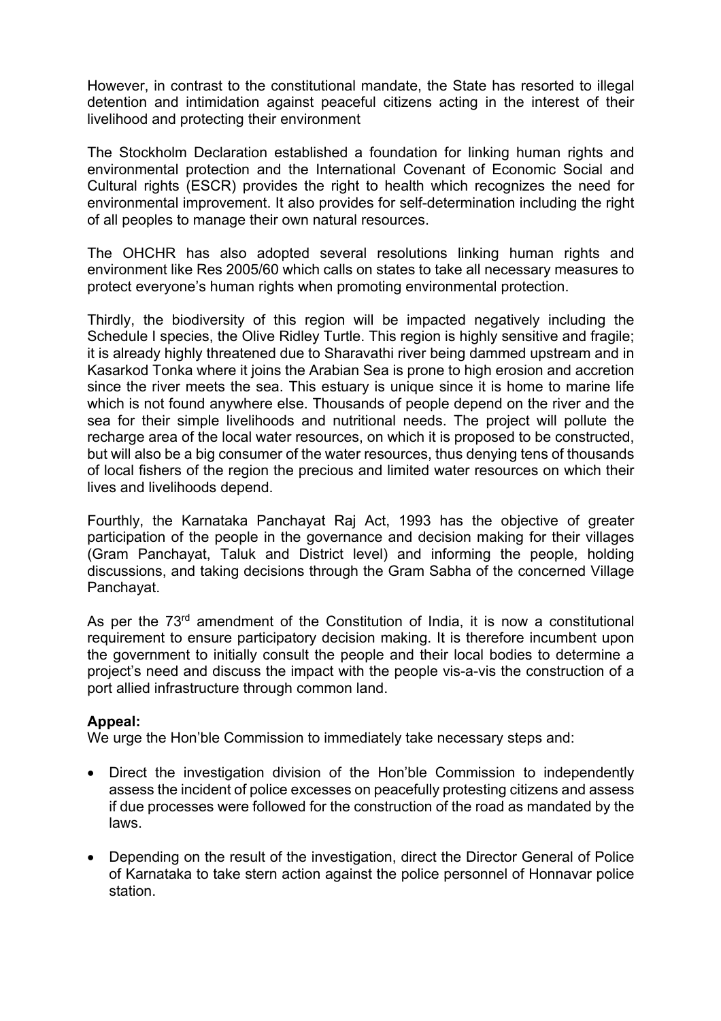However, in contrast to the constitutional mandate, the State has resorted to illegal detention and intimidation against peaceful citizens acting in the interest of their livelihood and protecting their environment

The Stockholm Declaration established a foundation for linking human rights and environmental protection and the International Covenant of Economic Social and Cultural rights (ESCR) provides the right to health which recognizes the need for environmental improvement. It also provides for self-determination including the right of all peoples to manage their own natural resources.

The OHCHR has also adopted several resolutions linking human rights and environment like Res 2005/60 which calls on states to take all necessary measures to protect everyone's human rights when promoting environmental protection.

Thirdly, the biodiversity of this region will be impacted negatively including the Schedule I species, the Olive Ridley Turtle. This region is highly sensitive and fragile; it is already highly threatened due to Sharavathi river being dammed upstream and in Kasarkod Tonka where it joins the Arabian Sea is prone to high erosion and accretion since the river meets the sea. This estuary is unique since it is home to marine life which is not found anywhere else. Thousands of people depend on the river and the sea for their simple livelihoods and nutritional needs. The project will pollute the recharge area of the local water resources, on which it is proposed to be constructed, but will also be a big consumer of the water resources, thus denying tens of thousands of local fishers of the region the precious and limited water resources on which their lives and livelihoods depend.

Fourthly, the Karnataka Panchayat Raj Act, 1993 has the objective of greater participation of the people in the governance and decision making for their villages (Gram Panchayat, Taluk and District level) and informing the people, holding discussions, and taking decisions through the Gram Sabha of the concerned Village Panchayat.

As per the  $73<sup>rd</sup>$  amendment of the Constitution of India, it is now a constitutional requirement to ensure participatory decision making. It is therefore incumbent upon the government to initially consult the people and their local bodies to determine a project's need and discuss the impact with the people vis-a-vis the construction of a port allied infrastructure through common land.

## **Appeal:**

We urge the Hon'ble Commission to immediately take necessary steps and:

- Direct the investigation division of the Hon'ble Commission to independently assess the incident of police excesses on peacefully protesting citizens and assess if due processes were followed for the construction of the road as mandated by the laws.
- Depending on the result of the investigation, direct the Director General of Police of Karnataka to take stern action against the police personnel of Honnavar police station.